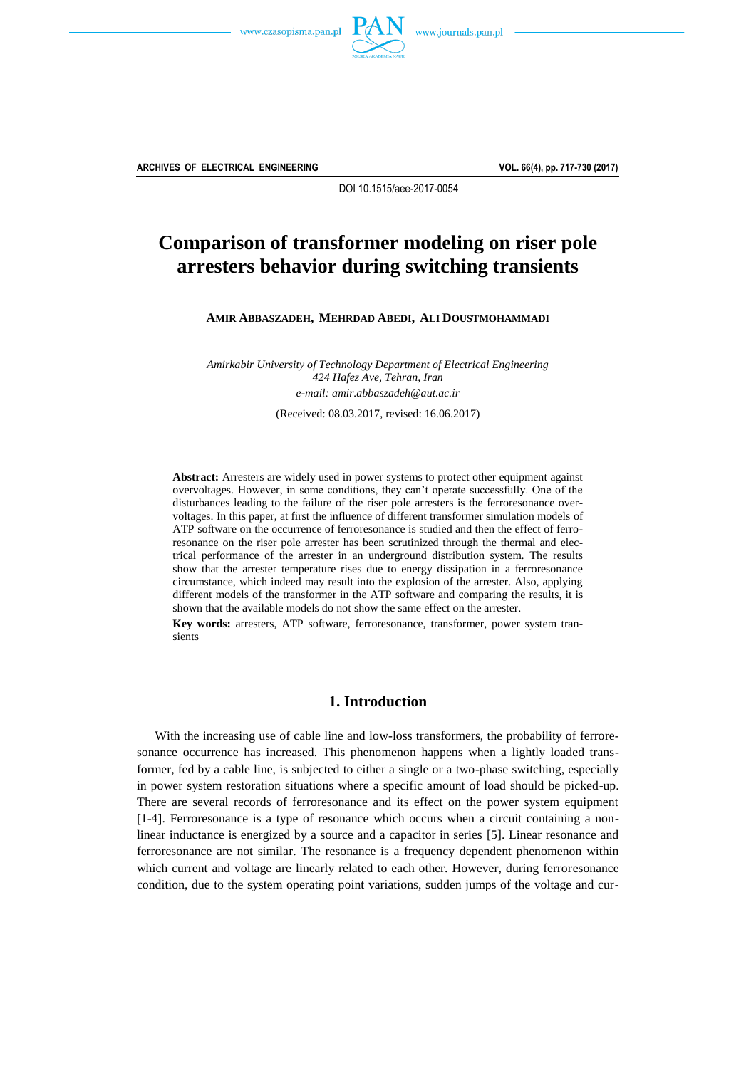



**ARCHIVES OF ELECTRICAL ENGINEERING VOL. 66(4), pp. 717-730 (2017)**

DOI 10.1515/aee-2017-0054

# **Comparison of transformer modeling on riser pole arresters behavior during switching transients**

**AMIR ABBASZADEH, MEHRDAD ABEDI, ALI DOUSTMOHAMMADI**

*Amirkabir University of Technology Department of Electrical Engineering 424 Hafez Ave, Tehran, Iran e-mail[: amir.abbaszadeh@aut.ac.ir](mailto:amir.abbaszadeh@aut.ac.ir?Subject=AEE-00437-2017-02)* (Received: 08.03.2017, revised: 16.06.2017)

**Abstract:** Arresters are widely used in power systems to protect other equipment against overvoltages. However, in some conditions, they can't operate successfully. One of the disturbances leading to the failure of the riser pole arresters is the ferroresonance overvoltages. In this paper, at first the influence of different transformer simulation models of ATP software on the occurrence of ferroresonance is studied and then the effect of ferroresonance on the riser pole arrester has been scrutinized through the thermal and electrical performance of the arrester in an underground distribution system. The results show that the arrester temperature rises due to energy dissipation in a ferroresonance circumstance, which indeed may result into the explosion of the arrester. Also, applying different models of the transformer in the ATP software and comparing the results, it is shown that the available models do not show the same effect on the arrester.

**Key words:** arresters, ATP software, ferroresonance, transformer, power system transients

## **1. Introduction**

With the increasing use of cable line and low-loss transformers, the probability of ferroresonance occurrence has increased. This phenomenon happens when a lightly loaded transformer, fed by a cable line, is subjected to either a single or a two-phase switching, especially in power system restoration situations where a specific amount of load should be picked-up. There are several records of ferroresonance and its effect on the power system equipment [14]. Ferroresonance is a type of resonance which occurs when a circuit containing a nonlinear inductance is energized by a source and a capacitor in series [5]. Linear resonance and ferroresonance are not similar. The resonance is a frequency dependent phenomenon within which current and voltage are linearly related to each other. However, during ferroresonance condition, due to the system operating point variations, sudden jumps of the voltage and cur-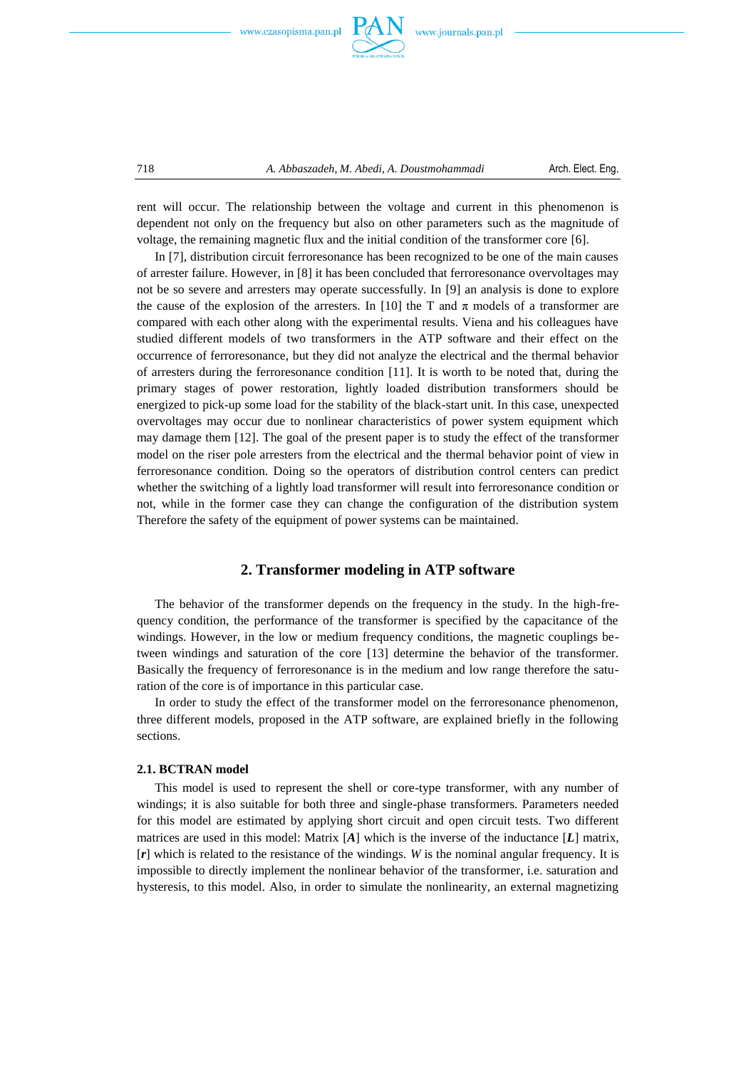



rent will occur. The relationship between the voltage and current in this phenomenon is dependent not only on the frequency but also on other parameters such as the magnitude of voltage, the remaining magnetic flux and the initial condition of the transformer core [6].

In [7], distribution circuit ferroresonance has been recognized to be one of the main causes of arrester failure. However, in [8] it has been concluded that ferroresonance overvoltages may not be so severe and arresters may operate successfully. In [9] an analysis is done to explore the cause of the explosion of the arresters. In [10] the T and  $\pi$  models of a transformer are compared with each other along with the experimental results. Viena and his colleagues have studied different models of two transformers in the ATP software and their effect on the occurrence of ferroresonance, but they did not analyze the electrical and the thermal behavior of arresters during the ferroresonance condition [11]. It is worth to be noted that, during the primary stages of power restoration, lightly loaded distribution transformers should be energized to pick-up some load for the stability of the black-start unit. In this case, unexpected overvoltages may occur due to nonlinear characteristics of power system equipment which may damage them [12]. The goal of the present paper is to study the effect of the transformer model on the riser pole arresters from the electrical and the thermal behavior point of view in ferroresonance condition. Doing so the operators of distribution control centers can predict whether the switching of a lightly load transformer will result into ferroresonance condition or not, while in the former case they can change the configuration of the distribution system Therefore the safety of the equipment of power systems can be maintained.

## **2. Transformer modeling in ATP software**

The behavior of the transformer depends on the frequency in the study. In the high-frequency condition, the performance of the transformer is specified by the capacitance of the windings. However, in the low or medium frequency conditions, the magnetic couplings between windings and saturation of the core [13] determine the behavior of the transformer. Basically the frequency of ferroresonance is in the medium and low range therefore the saturation of the core is of importance in this particular case.

In order to study the effect of the transformer model on the ferroresonance phenomenon, three different models, proposed in the ATP software, are explained briefly in the following sections.

## **2.1. BCTRAN model**

This model is used to represent the shell or core-type transformer, with any number of windings; it is also suitable for both three and single-phase transformers. Parameters needed for this model are estimated by applying short circuit and open circuit tests. Two different matrices are used in this model: Matrix [*A*] which is the inverse of the inductance [*L*] matrix, [*r*] which is related to the resistance of the windings. *W* is the nominal angular frequency. It is impossible to directly implement the nonlinear behavior of the transformer, i.e. saturation and hysteresis, to this model. Also, in order to simulate the nonlinearity, an external magnetizing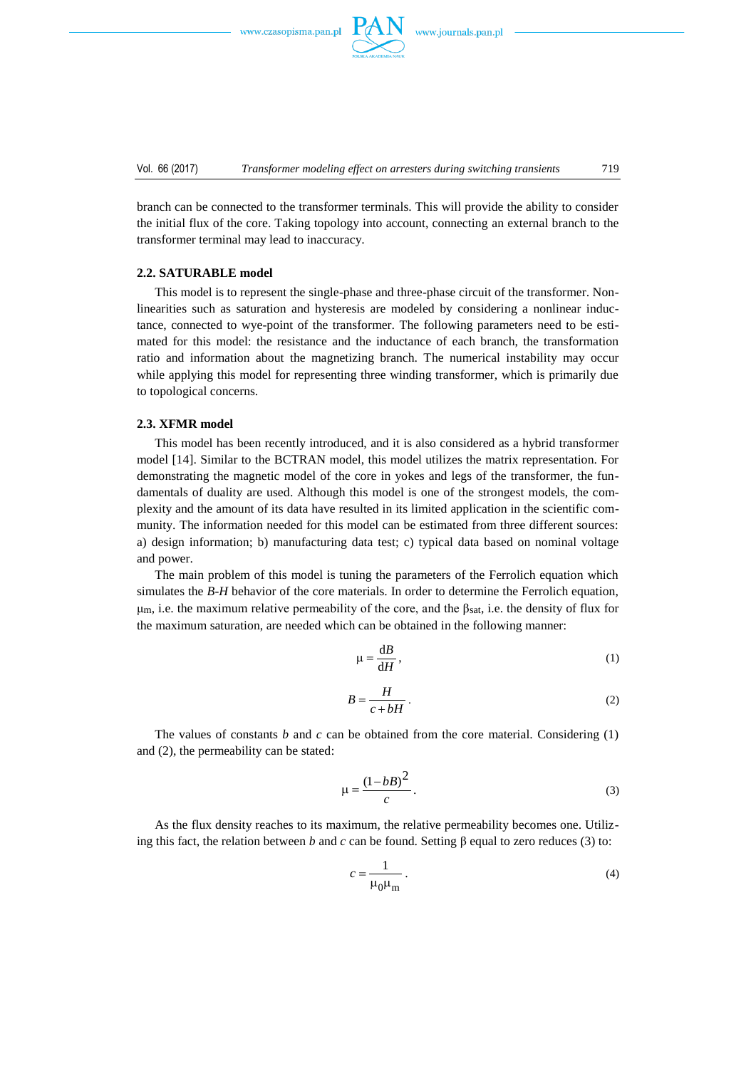

Vol. 66 (2017) *Transformer modeling effect on arresters during switching transients* 719

branch can be connected to the transformer terminals. This will provide the ability to consider the initial flux of the core. Taking topology into account, connecting an external branch to the transformer terminal may lead to inaccuracy.

#### **2.2. SATURABLE model**

This model is to represent the single-phase and three-phase circuit of the transformer. Nonlinearities such as saturation and hysteresis are modeled by considering a nonlinear inductance, connected to wye-point of the transformer. The following parameters need to be estimated for this model: the resistance and the inductance of each branch, the transformation ratio and information about the magnetizing branch. The numerical instability may occur while applying this model for representing three winding transformer, which is primarily due to topological concerns.

## **2.3. XFMR model**

This model has been recently introduced, and it is also considered as a hybrid transformer model [14]. Similar to the BCTRAN model, this model utilizes the matrix representation. For demonstrating the magnetic model of the core in yokes and legs of the transformer, the fundamentals of duality are used. Although this model is one of the strongest models, the complexity and the amount of its data have resulted in its limited application in the scientific community. The information needed for this model can be estimated from three different sources: a) design information; b) manufacturing data test; c) typical data based on nominal voltage and power.

The main problem of this model is tuning the parameters of the Ferrolich equation which simulates the *B*-*H* behavior of the core materials. In order to determine the Ferrolich equation, μ<sub>m</sub>, i.e. the maximum relative permeability of the core, and the β<sub>sat</sub>, i.e. the density of flux for the maximum saturation, are needed which can be obtained in the following manner:

$$
\mu = \frac{\mathrm{d}B}{\mathrm{d}H},\tag{1}
$$

$$
B = \frac{H}{c + bH} \,. \tag{2}
$$

The values of constants *b* and *c* can be obtained from the core material. Considering (1) and (2), the permeability can be stated:

$$
\mu = \frac{(1 - bB)^2}{c} \,. \tag{3}
$$

As the flux density reaches to its maximum, the relative permeability becomes one. Utilizing this fact, the relation between *b* and *c* can be found. Setting β equal to zero reduces (3) to:

$$
c = \frac{1}{\mu_0 \mu_m} \,. \tag{4}
$$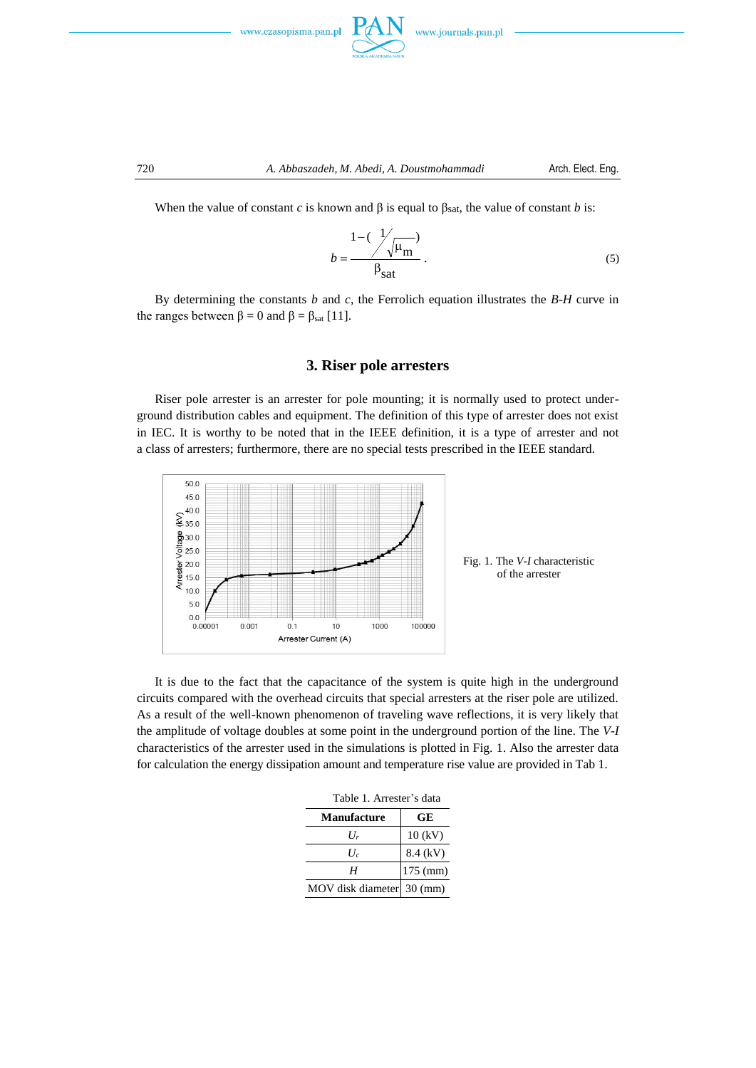



When the value of constant *c* is known and  $\beta$  is equal to  $\beta_{\text{sat}}$ , the value of constant *b* is:

$$
b = \frac{1 - (\frac{1}{\sqrt{\mu_m}})}{\beta_{\text{sat}}}.
$$
 (5)

By determining the constants *b* and *c*, the Ferrolich equation illustrates the *B*-*H* curve in the ranges between  $\beta = 0$  and  $\beta = \beta_{sat}$  [11].

### **3. Riser pole arresters**

Riser pole arrester is an arrester for pole mounting; it is normally used to protect underground distribution cables and equipment. The definition of this type of arrester does not exist in IEC. It is worthy to be noted that in the IEEE definition, it is a type of arrester and not a class of arresters; furthermore, there are no special tests prescribed in the IEEE standard.



It is due to the fact that the capacitance of the system is quite high in the underground circuits compared with the overhead circuits that special arresters at the riser pole are utilized. As a result of the well-known phenomenon of traveling wave reflections, it is very likely that the amplitude of voltage doubles at some point in the underground portion of the line. The *V*-*I* characteristics of the arrester used in the simulations is plotted in Fig. 1. Also the arrester data for calculation the energy dissipation amount and temperature rise value are provided in Tab 1.

| Table 1. Allester 8 uala  |            |  |  |  |  |
|---------------------------|------------|--|--|--|--|
| <b>Manufacture</b>        | GЕ         |  |  |  |  |
| $U_r$                     | $10$ (kV)  |  |  |  |  |
| H.                        | 8.4 (kV)   |  |  |  |  |
| Н                         | $175$ (mm) |  |  |  |  |
| MOV disk diameter 30 (mm) |            |  |  |  |  |

Table 1. Arrester's data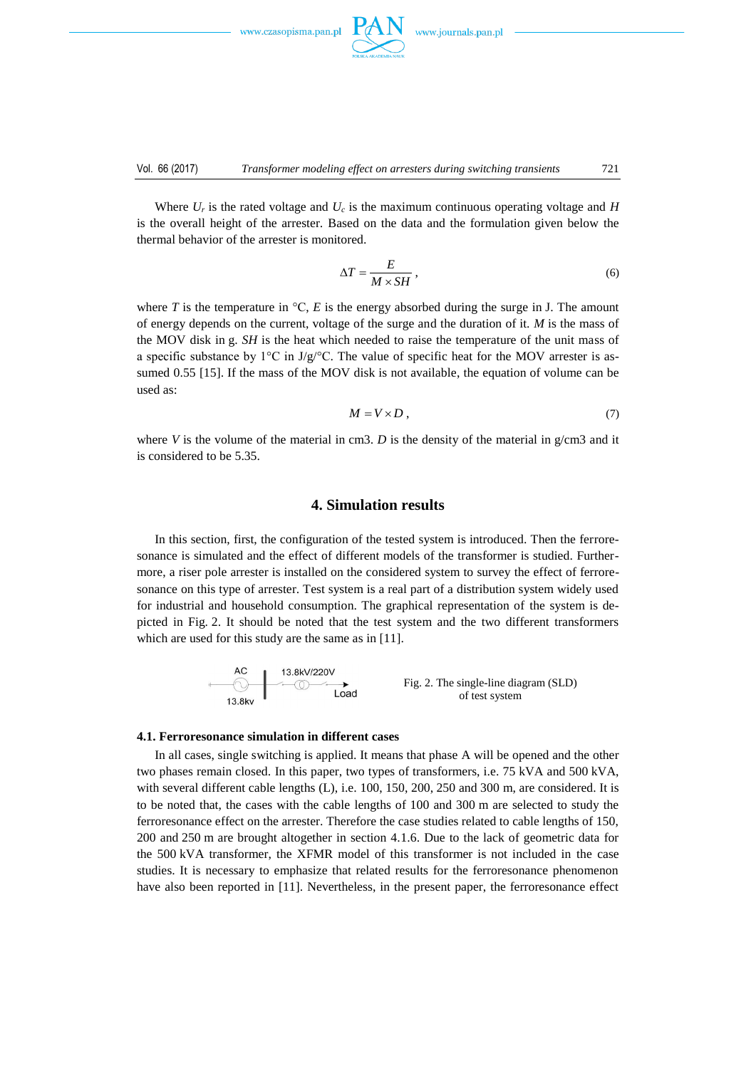

Where  $U_r$  is the rated voltage and  $U_c$  is the maximum continuous operating voltage and *H* is the overall height of the arrester. Based on the data and the formulation given below the thermal behavior of the arrester is monitored.

$$
\Delta T = \frac{E}{M \times SH},\tag{6}
$$

where *T* is the temperature in  $\mathcal{C}$ , *E* is the energy absorbed during the surge in J. The amount of energy depends on the current, voltage of the surge and the duration of it. *M* is the mass of the MOV disk in g. *SH* is the heat which needed to raise the temperature of the unit mass of a specific substance by  $1^{\circ}C$  in J/g/ $^{\circ}C$ . The value of specific heat for the MOV arrester is assumed 0.55 [15]. If the mass of the MOV disk is not available, the equation of volume can be used as:

$$
M = V \times D \tag{7}
$$

where *V* is the volume of the material in cm3. *D* is the density of the material in  $g/cm3$  and it is considered to be 5.35.

## **4. Simulation results**

In this section, first, the configuration of the tested system is introduced. Then the ferroresonance is simulated and the effect of different models of the transformer is studied. Furthermore, a riser pole arrester is installed on the considered system to survey the effect of ferroresonance on this type of arrester. Test system is a real part of a distribution system widely used for industrial and household consumption. The graphical representation of the system is depicted in Fig. 2. It should be noted that the test system and the two different transformers which are used for this study are the same as in [11].

Fig. 2. The single-line diagram (SLD) of test system

#### **4.1. Ferroresonance simulation in different cases**

In all cases, single switching is applied. It means that phase A will be opened and the other two phases remain closed. In this paper, two types of transformers, i.e. 75 kVA and 500 kVA, with several different cable lengths (L), i.e. 100, 150, 200, 250 and 300 m, are considered. It is to be noted that, the cases with the cable lengths of 100 and 300 m are selected to study the ferroresonance effect on the arrester. Therefore the case studies related to cable lengths of 150, 200 and 250 m are brought altogether in section 4.1.6. Due to the lack of geometric data for the 500 kVA transformer, the XFMR model of this transformer is not included in the case studies. It is necessary to emphasize that related results for the ferroresonance phenomenon have also been reported in [11]. Nevertheless, in the present paper, the ferroresonance effect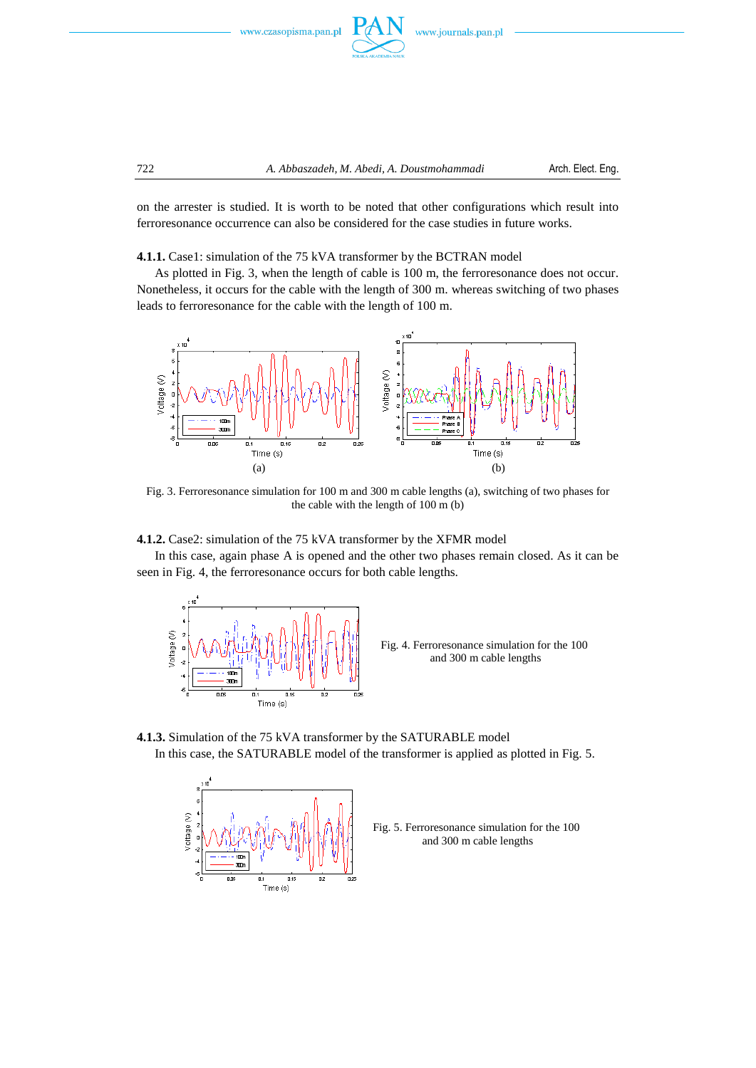

on the arrester is studied. It is worth to be noted that other configurations which result into ferroresonance occurrence can also be considered for the case studies in future works.

#### **4.1.1.** Case1: simulation of the 75 kVA transformer by the BCTRAN model

As plotted in Fig. 3, when the length of cable is 100 m, the ferroresonance does not occur. Nonetheless, it occurs for the cable with the length of 300 m. whereas switching of two phases leads to ferroresonance for the cable with the length of 100 m.



Fig. 3. Ferroresonance simulation for 100 m and 300 m cable lengths (a), switching of two phases for the cable with the length of 100 m (b)

## **4.1.2.** Case2: simulation of the 75 kVA transformer by the XFMR model

In this case, again phase A is opened and the other two phases remain closed. As it can be seen in Fig. 4, the ferroresonance occurs for both cable lengths.



Fig. 4. Ferroresonance simulation for the 100 and 300 m cable lengths





Fig. 5. Ferroresonance simulation for the 100 and 300 m cable lengths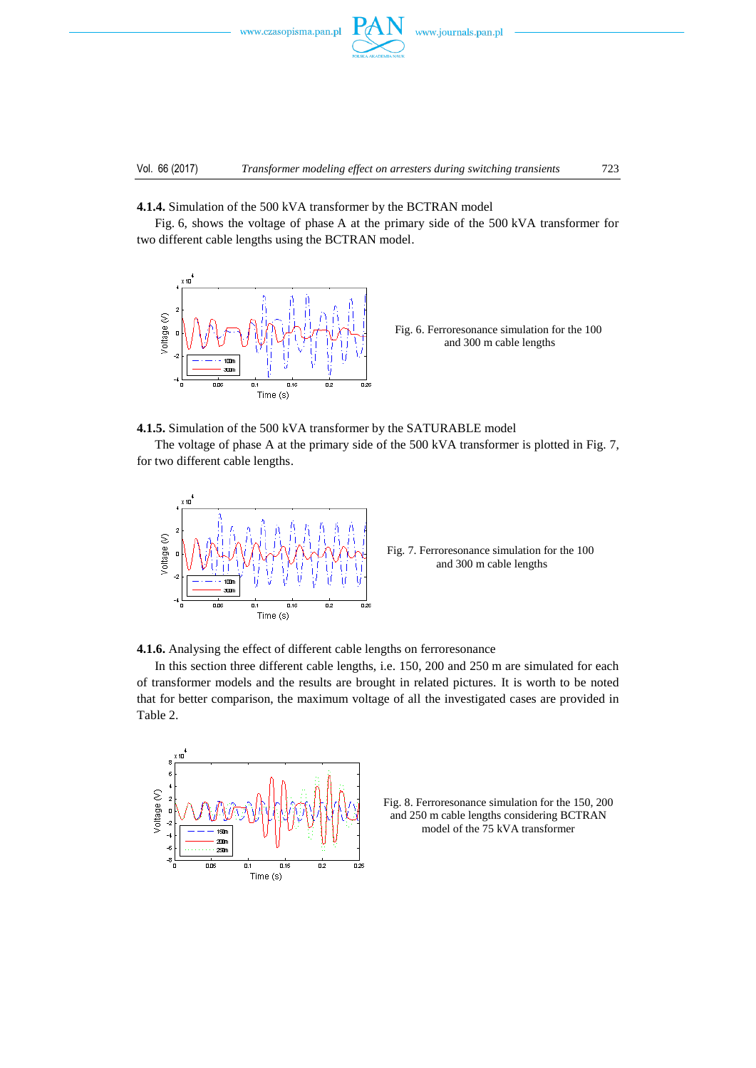



**4.1.4.** Simulation of the 500 kVA transformer by the BCTRAN model

Fig. 6, shows the voltage of phase A at the primary side of the 500 kVA transformer for two different cable lengths using the BCTRAN model.



Fig. 6. Ferroresonance simulation for the 100 and 300 m cable lengths

**4.1.5.** Simulation of the 500 kVA transformer by the SATURABLE model

The voltage of phase A at the primary side of the 500 kVA transformer is plotted in Fig. 7, for two different cable lengths.



Fig. 7. Ferroresonance simulation for the 100 and 300 m cable lengths

**4.1.6.** Analysing the effect of different cable lengths on ferroresonance

In this section three different cable lengths, i.e. 150, 200 and 250 m are simulated for each of transformer models and the results are brought in related pictures. It is worth to be noted that for better comparison, the maximum voltage of all the investigated cases are provided in Table 2.



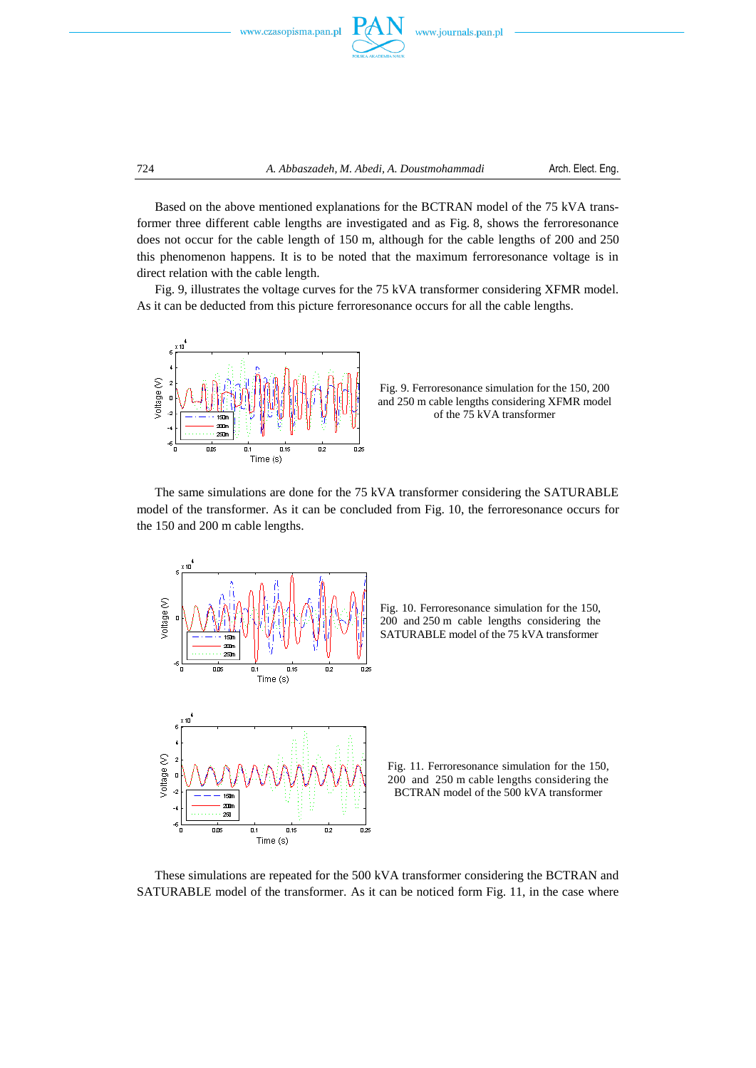



724 *A. Abbaszadeh, M. Abedi, A. Doustmohammadi* Arch. Elect. Eng.

Based on the above mentioned explanations for the BCTRAN model of the 75 kVA transformer three different cable lengths are investigated and as Fig. 8, shows the ferroresonance does not occur for the cable length of 150 m, although for the cable lengths of 200 and 250 this phenomenon happens. It is to be noted that the maximum ferroresonance voltage is in direct relation with the cable length.

Fig. 9, illustrates the voltage curves for the 75 kVA transformer considering XFMR model. As it can be deducted from this picture ferroresonance occurs for all the cable lengths.



Fig. 9. Ferroresonance simulation for the 150, 200 and 250 m cable lengths considering XFMR model of the 75 kVA transformer

The same simulations are done for the 75 kVA transformer considering the SATURABLE model of the transformer. As it can be concluded from Fig. 10, the ferroresonance occurs for the 150 and 200 m cable lengths.





Fig. 11. Ferroresonance simulation for the 150, 200 and 250 m cable lengths considering the BCTRAN model of the 500 kVA transformer

These simulations are repeated for the 500 kVA transformer considering the BCTRAN and SATURABLE model of the transformer. As it can be noticed form Fig. 11, in the case where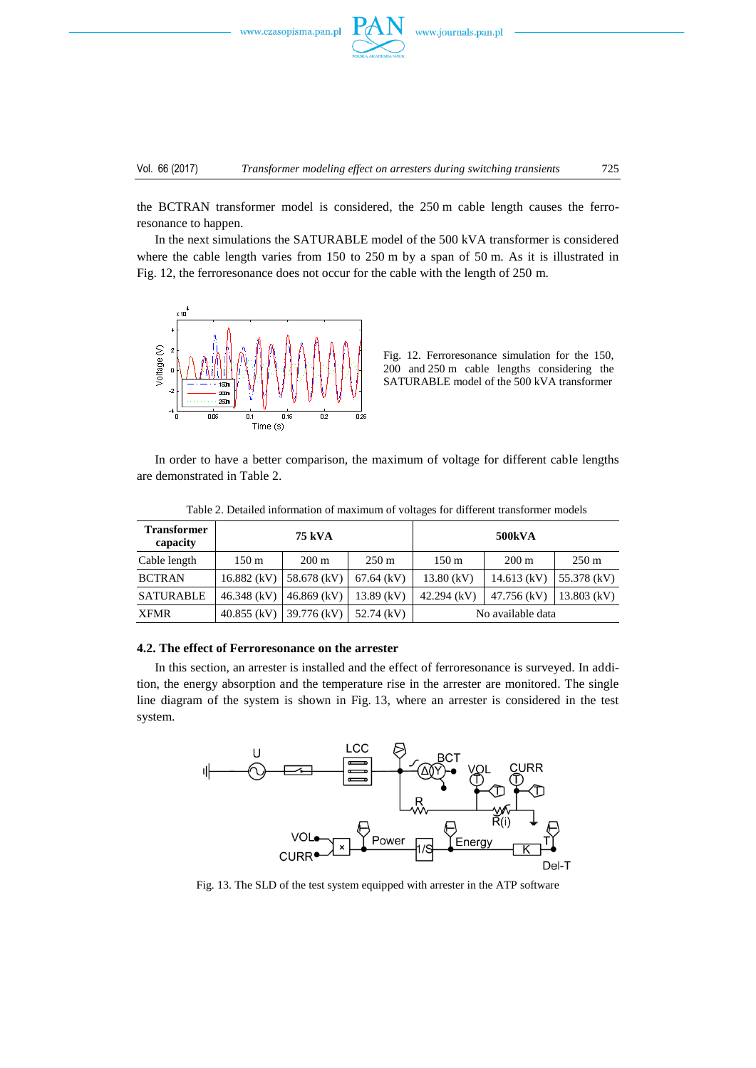



the BCTRAN transformer model is considered, the 250 m cable length causes the ferroresonance to happen.

In the next simulations the SATURABLE model of the 500 kVA transformer is considered where the cable length varies from 150 to 250 m by a span of 50 m. As it is illustrated in Fig. 12, the ferroresonance does not occur for the cable with the length of 250 m.



Fig. 12. Ferroresonance simulation for the 150, 200 and 250 m cable lengths considering the SATURABLE model of the 500 kVA transformer

In order to have a better comparison, the maximum of voltage for different cable lengths are demonstrated in Table 2.

| <b>Transformer</b><br>capacity | 75 kVA           |                 |                 | <b>500kVA</b>     |                 |                 |
|--------------------------------|------------------|-----------------|-----------------|-------------------|-----------------|-----------------|
| Cable length                   | 150 <sub>m</sub> | $200 \text{ m}$ | $250 \text{ m}$ | $150 \text{ m}$   | $200 \text{ m}$ | $250 \text{ m}$ |
| <b>BCTRAN</b>                  | 16.882 (kV)      | 58.678 (kV)     | $67.64$ (kV)    | $13.80$ (kV)      | $14.613$ (kV)   | $55.378$ (kV)   |
| SATURABLE                      | $46.348$ (kV)    | $46.869$ (kV)   | $13.89$ (kV)    | $42.294$ (kV)     | 47.756 (kV)     | $13.803$ (kV)   |
| <b>XFMR</b>                    | $40.855$ (kV)    | 39.776 (kV)     | 52.74 (kV)      | No available data |                 |                 |

Table 2. Detailed information of maximum of voltages for different transformer models

#### **4.2. The effect of Ferroresonance on the arrester**

In this section, an arrester is installed and the effect of ferroresonance is surveyed. In addition, the energy absorption and the temperature rise in the arrester are monitored. The single line diagram of the system is shown in Fig. 13, where an arrester is considered in the test system.



Fig. 13. The SLD of the test system equipped with arrester in the ATP software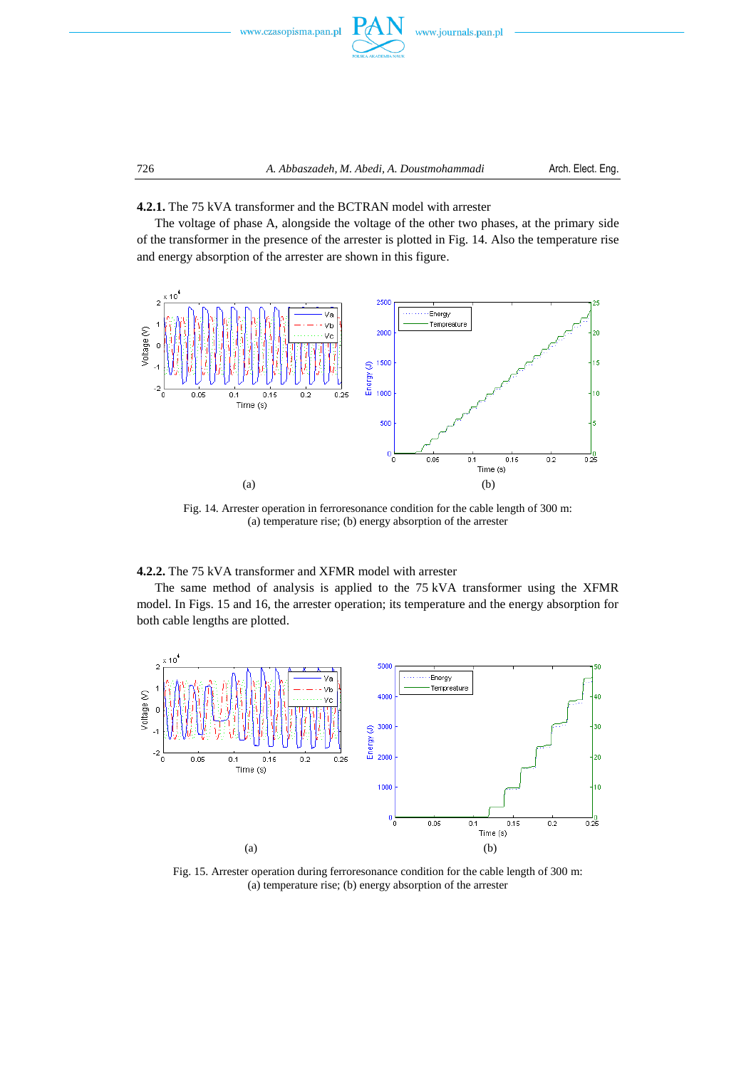



**4.2.1.** The 75 kVA transformer and the BCTRAN model with arrester

The voltage of phase A, alongside the voltage of the other two phases, at the primary side of the transformer in the presence of the arrester is plotted in Fig. 14. Also the temperature rise and energy absorption of the arrester are shown in this figure.



Fig. 14. Arrester operation in ferroresonance condition for the cable length of 300 m: (a) temperature rise; (b) energy absorption of the arrester

### **4.2.2.** The 75 kVA transformer and XFMR model with arrester

The same method of analysis is applied to the 75 kVA transformer using the XFMR model. In Figs. 15 and 16, the arrester operation; its temperature and the energy absorption for both cable lengths are plotted.



Fig. 15. Arrester operation during ferroresonance condition for the cable length of 300 m: (a) temperature rise; (b) energy absorption of the arrester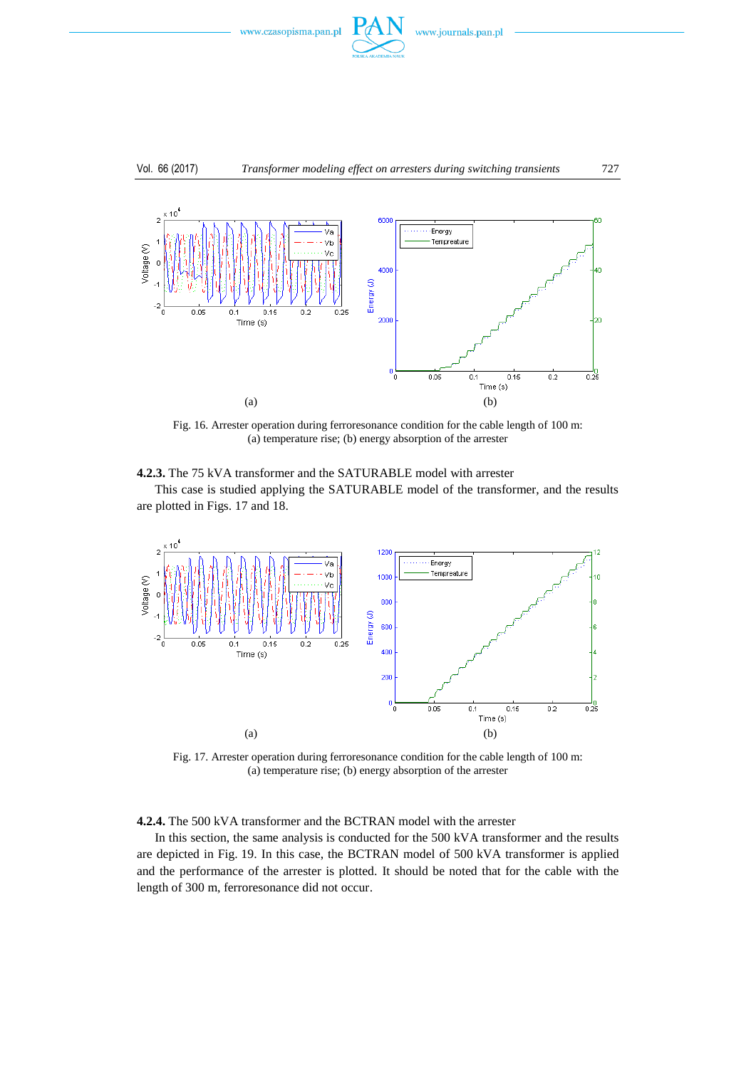

#### Vol. 66 (2017) *Transformer modeling effect on arresters during switching transients* 727



Fig. 16. Arrester operation during ferroresonance condition for the cable length of 100 m: (a) temperature rise; (b) energy absorption of the arrester



This case is studied applying the SATURABLE model of the transformer, and the results are plotted in Figs. 17 and 18.



Fig. 17. Arrester operation during ferroresonance condition for the cable length of 100 m: (a) temperature rise; (b) energy absorption of the arrester

**4.2.4.** The 500 kVA transformer and the BCTRAN model with the arrester

In this section, the same analysis is conducted for the 500 kVA transformer and the results are depicted in Fig. 19. In this case, the BCTRAN model of 500 kVA transformer is applied and the performance of the arrester is plotted. It should be noted that for the cable with the length of 300 m, ferroresonance did not occur.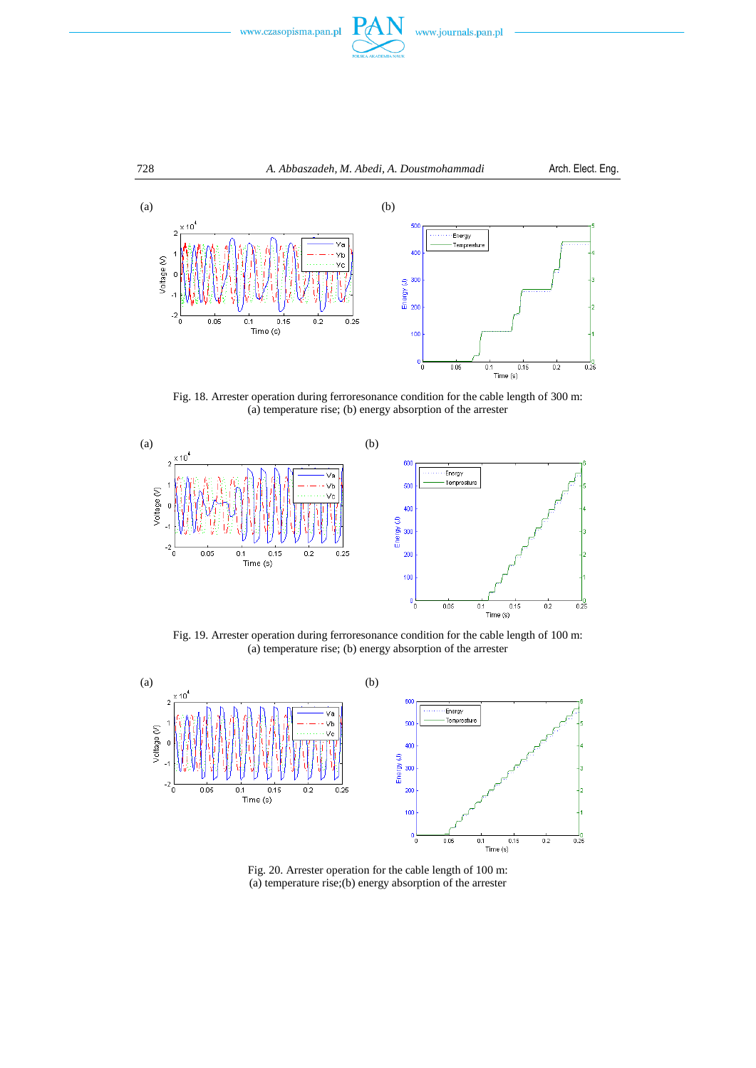



Fig. 18. Arrester operation during ferroresonance condition for the cable length of 300 m: (a) temperature rise; (b) energy absorption of the arrester



Fig. 19. Arrester operation during ferroresonance condition for the cable length of 100 m: (a) temperature rise; (b) energy absorption of the arrester



Fig. 20. Arrester operation for the cable length of 100 m: (a) temperature rise;(b) energy absorption of the arrester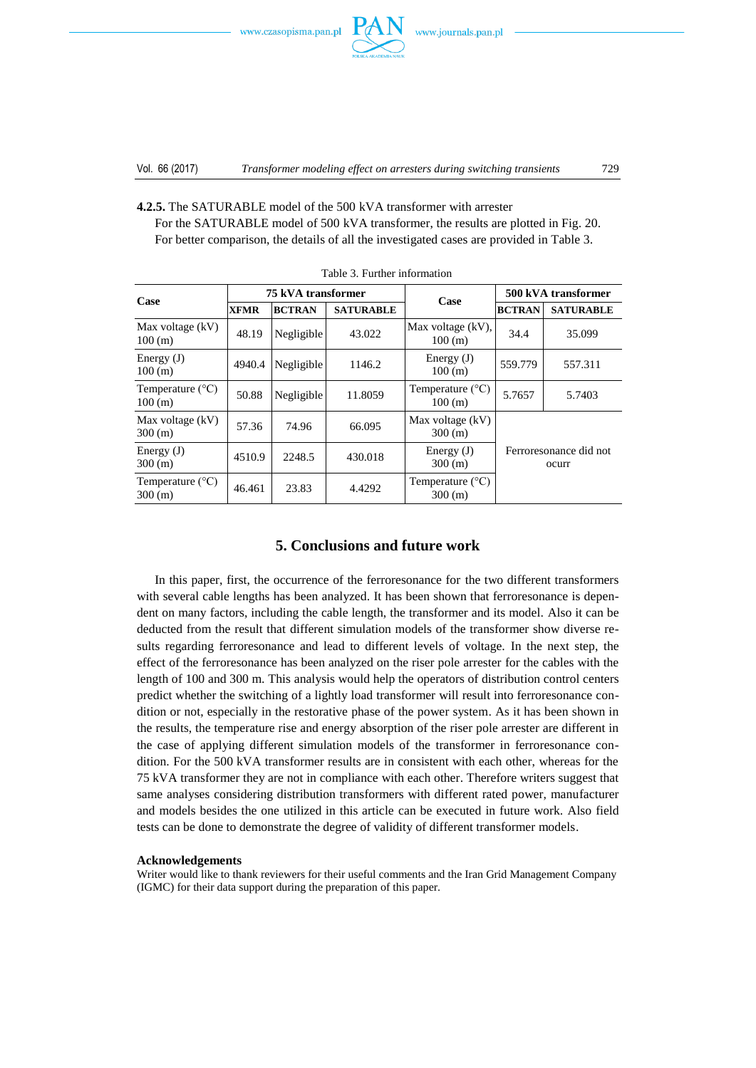

**4.2.5.** The SATURABLE model of the 500 kVA transformer with arrester

For the SATURABLE model of 500 kVA transformer, the results are plotted in Fig. 20. For better comparison, the details of all the investigated cases are provided in Table 3.

| Case                                 | 75 kVA transformer |               |                  | Case                                | 500 kVA transformer             |                  |  |  |  |
|--------------------------------------|--------------------|---------------|------------------|-------------------------------------|---------------------------------|------------------|--|--|--|
|                                      | <b>XFMR</b>        | <b>BCTRAN</b> | <b>SATURABLE</b> |                                     | <b>BCTRAN</b>                   | <b>SATURABLE</b> |  |  |  |
| Max voltage $(kV)$<br>100 (m)        | 48.19              | Negligible    | 43.022           | Max voltage (kV),<br>100(m)         | 34.4                            | 35.099           |  |  |  |
| Energy $(J)$<br>100 (m)              | 4940.4             | Negligible    | 1146.2           | Energy $(J)$<br>100(m)              | 559.779                         | 557.311          |  |  |  |
| Temperature $(^{\circ}C)$<br>100(m)  | 50.88              | Negligible    | 11.8059          | Temperature $(^{\circ}C)$<br>100(m) | 5.7657                          | 5.7403           |  |  |  |
| Max voltage $(kV)$<br>300 (m)        | 57.36              | 74.96         | 66.095           | Max voltage (kV)<br>300(m)          | Ferroresonance did not<br>ocurr |                  |  |  |  |
| Energy $(J)$<br>300 (m)              | 4510.9             | 2248.5        | 430.018          | Energy $(J)$<br>300 (m)             |                                 |                  |  |  |  |
| Temperature $(^{\circ}C)$<br>300 (m) | 46.461             | 23.83         | 4.4292           | Temperature $(^{\circ}C)$<br>300(m) |                                 |                  |  |  |  |

Table 3. Further information

## **5. Conclusions and future work**

In this paper, first, the occurrence of the ferroresonance for the two different transformers with several cable lengths has been analyzed. It has been shown that ferroresonance is dependent on many factors, including the cable length, the transformer and its model. Also it can be deducted from the result that different simulation models of the transformer show diverse results regarding ferroresonance and lead to different levels of voltage. In the next step, the effect of the ferroresonance has been analyzed on the riser pole arrester for the cables with the length of 100 and 300 m. This analysis would help the operators of distribution control centers predict whether the switching of a lightly load transformer will result into ferroresonance condition or not, especially in the restorative phase of the power system. As it has been shown in the results, the temperature rise and energy absorption of the riser pole arrester are different in the case of applying different simulation models of the transformer in ferroresonance condition. For the 500 kVA transformer results are in consistent with each other, whereas for the 75 kVA transformer they are not in compliance with each other. Therefore writers suggest that same analyses considering distribution transformers with different rated power, manufacturer and models besides the one utilized in this article can be executed in future work. Also field tests can be done to demonstrate the degree of validity of different transformer models.

#### **Acknowledgements**

Writer would like to thank reviewers for their useful comments and the Iran Grid Management Company (IGMC) for their data support during the preparation of this paper.